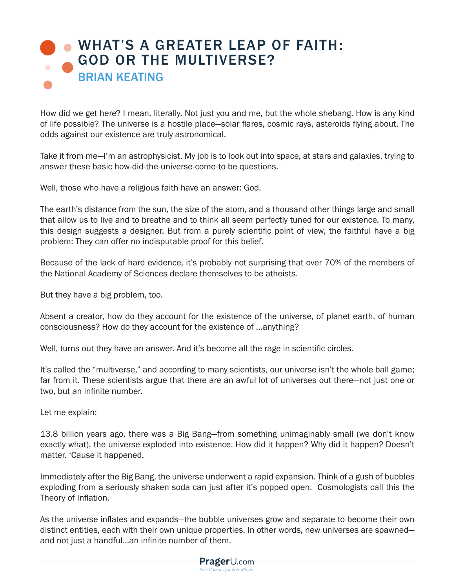## [WHAT'S A GREATER LEAP OF FAITH:](https://www.prageru.com/videos/whats-greater-leap-faith-god-or-multiverse
) GOD OR THE MULTIVERSE? BRIAN KEATING

How did we get here? I mean, literally. Not just you and me, but the whole shebang. How is any kind of life possible? The universe is a hostile place—solar flares, cosmic rays, asteroids flying about. The odds against our existence are truly astronomical.

Take it from me—I'm an astrophysicist. My job is to look out into space, at stars and galaxies, trying to answer these basic how-did-the-universe-come-to-be questions.

Well, those who have a religious faith have an answer: God.

The earth's distance from the sun, the size of the atom, and a thousand other things large and small that allow us to live and to breathe and to think all seem perfectly tuned for our existence. To many, this design suggests a designer. But from a purely scientific point of view, the faithful have a big problem: They can offer no indisputable proof for this belief.

Because of the lack of hard evidence, it's probably not surprising that over 70% of the members of the National Academy of Sciences declare themselves to be atheists.

But they have a big problem, too.

Absent a creator, how do they account for the existence of the universe, of planet earth, of human consciousness? How do they account for the existence of …anything?

Well, turns out they have an answer. And it's become all the rage in scientific circles.

It's called the "multiverse," and according to many scientists, our universe isn't the whole ball game; far from it. These scientists argue that there are an awful lot of universes out there—not just one or two, but an infinite number.

Let me explain:

13.8 billion years ago, there was a Big Bang—from something unimaginably small (we don't know exactly what), the universe exploded into existence. How did it happen? Why did it happen? Doesn't matter. 'Cause it happened.

Immediately after the Big Bang, the universe underwent a rapid expansion. Think of a gush of bubbles exploding from a seriously shaken soda can just after it's popped open. Cosmologists call this the Theory of Inflation.

As the universe inflates and expands—the bubble universes grow and separate to become their own distinct entities, each with their own unique properties. In other words, new universes are spawned and not just a handful…an infinite number of them.